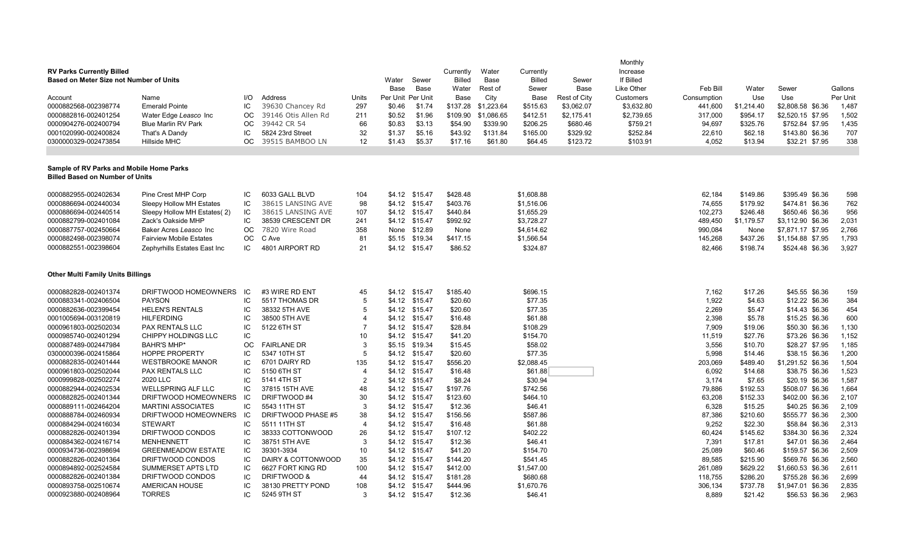| <b>RV Parks Currently Billed</b><br>Based on Meter Size not Number of Units        |                                                   | Water     | Sewer                         | Currently<br><b>Billed</b>       | Water<br>Base     | Currently<br><b>Billed</b> | Sewer              | Monthly<br>Increase<br>If Billed |                     |              |            |                 |                     |                                   |                |
|------------------------------------------------------------------------------------|---------------------------------------------------|-----------|-------------------------------|----------------------------------|-------------------|----------------------------|--------------------|----------------------------------|---------------------|--------------|------------|-----------------|---------------------|-----------------------------------|----------------|
|                                                                                    |                                                   |           |                               |                                  | Base              | <b>Base</b>                | Water              | Rest of                          | Sewer               | Base         | Like Other | Feb Bill        | Water               | Sewer                             | Gallons        |
| Account                                                                            | Name                                              | I/O       | Address                       | Units                            | Per Unit Per Unit |                            | Base               | City                             | Base                | Rest of City | Customers  | Consumption     | Use                 | Use                               | Per Unit       |
| 0000882568-002398774                                                               | <b>Emerald Pointe</b>                             | IC        | 39630 Chancey Rd              | 297                              | \$0.46            | \$1.74                     | \$137.28           | \$1,223.64                       | \$515.63            | \$3,062.07   | \$3,632.80 | 441,600         | \$1,214.40          | \$2,808.58 \$6.36                 | 1,487          |
| 0000882816-002401254                                                               | Water Edge Leasco Inc                             | <b>OC</b> | 39146 Otis Allen Rd           | 211                              | \$0.52            | \$1.96                     | \$109.90           | \$1,086.65                       | \$412.51            | \$2,175.41   | \$2,739.65 | 317,000         | \$954.17            | \$2,520.15 \$7.95                 | 1,502          |
| 0000904276-002400794                                                               | <b>Blue Marlin RV Park</b>                        | ОC        | 39442 CR 54                   | 66                               | \$0.83            | \$3.13                     | \$54.90            | \$339.90                         | \$206.25            | \$680.46     | \$759.21   | 94,697          | \$325.76            | \$752.84 \$7.95                   | 1,435          |
| 0001020990-002400824                                                               | That's A Dandy                                    | IС        | 5824 23rd Street              | 32                               | \$1.37            | \$5.16                     | \$43.92            | \$131.84                         | \$165.00            | \$329.92     | \$252.84   | 22,610          | \$62.18             | \$143.80 \$6.36                   | 707            |
| 0300000329-002473854                                                               | <b>Hillside MHC</b>                               | OC        | 39515 BAMBOO LN               | 12                               | \$1.43            | \$5.37                     | \$17.16            | \$61.80                          | \$64.45             | \$123.72     | \$103.91   | 4,052           | \$13.94             | \$32.21 \$7.95                    | 338            |
| Sample of RV Parks and Mobile Home Parks<br><b>Billed Based on Number of Units</b> |                                                   |           |                               |                                  |                   |                            |                    |                                  |                     |              |            |                 |                     |                                   |                |
| 0000882955-002402634                                                               | Pine Crest MHP Corp                               | IC        | 6033 GALL BLVD                | 104                              |                   | \$4.12 \$15.47             | \$428.48           |                                  | \$1,608.88          |              |            | 62,184          | \$149.86            | \$395.49 \$6.36                   | 598            |
| 0000886694-002440034                                                               | Sleepy Hollow MH Estates                          | IC        | 38615 LANSING AVE             | 98                               |                   | \$4.12 \$15.47             | \$403.76           |                                  | \$1,516.06          |              |            | 74,655          | \$179.92            | \$474.81 \$6.36                   | 762            |
| 0000886694-002440514                                                               | Sleepy Hollow MH Estates(2)                       | IC        | 38615 LANSING AVE             | 107                              |                   | \$4.12 \$15.47             | \$440.84           |                                  | \$1,655.29          |              |            | 102,273         | \$246.48            | \$650.46 \$6.36                   | 956            |
| 0000882799-002401084                                                               | Zack's Oakside MHP                                | IC        | 38539 CRESCENT DR             | 241                              |                   | \$4.12 \$15.47             | \$992.92           |                                  | \$3,728.27          |              |            | 489,450         | \$1,179.57          | \$3,112.90 \$6.36                 | 2,031          |
| 0000887757-002450664                                                               | Baker Acres Leasco Inc                            | OC.       | 7820 Wire Road                | 358                              |                   | None \$12.89               | None               |                                  | \$4,614.62          |              |            | 990,084         | None                | \$7,871.17 \$7.95                 | 2,766          |
| 0000882498-002398074                                                               | <b>Fairview Mobile Estates</b>                    | OC        | C Ave                         | 81                               | \$5.15            | \$19.34                    | \$417.15           |                                  | \$1,566.54          |              |            | 145,268         | \$437.26            | \$1,154.88 \$7.95                 | 1,793          |
| 0000882551-002398604                                                               | Zephyrhills Estates East Inc                      | IC        | 4801 AIRPORT RD               | 21                               |                   | \$4.12 \$15.47             | \$86.52            |                                  | \$324.87            |              |            | 82,466          | \$198.74            | \$524.48 \$6.36                   | 3,927          |
| <b>Other Multi Family Units Billings</b>                                           |                                                   |           |                               |                                  |                   |                            |                    |                                  |                     |              |            |                 |                     |                                   |                |
| 0000882828-002401374                                                               | DRIFTWOOD HOMEOWNERS                              | IC        | #3 WIRE RD ENT                | 45                               |                   | \$4.12 \$15.47             | \$185.40           |                                  | \$696.15            |              |            | 7,162           | \$17.26             | \$45.55 \$6.36                    | 159            |
| 0000883341-002406504                                                               | <b>PAYSON</b>                                     | IC        | 5517 THOMAS DR                | 5                                |                   | \$4.12 \$15.47             | \$20.60            |                                  | \$77.35             |              |            | 1,922           | \$4.63              | \$12.22 \$6.36                    | 384            |
| 0000882636-002399454                                                               | <b>HELEN'S RENTALS</b>                            | IC        | 38332 5TH AVE                 | 5                                |                   | \$4.12 \$15.47             | \$20.60            |                                  | \$77.35             |              |            | 2,269           | \$5.47              | \$14.43 \$6.36                    | 454            |
| 0001005694-003120819                                                               | <b>HILFERDING</b>                                 | IC        | 38500 5TH AVE                 | 4                                |                   | \$4.12 \$15.47             | \$16.48            |                                  | \$61.88             |              |            | 2,398           | \$5.78              | \$15.25 \$6.36                    | 600            |
| 0000961803-002502034                                                               | <b>PAX RENTALS LLC</b>                            | IC        | 5122 6TH ST                   | $\overline{7}$                   | \$4.12            | \$15.47                    | \$28.84            |                                  | \$108.29            |              |            | 7,909           | \$19.06             | \$50.30 \$6.36                    | 1,130          |
| 0000985740-002401294                                                               | CHIPPY HOLDINGS LLC                               | IC        |                               | 10                               |                   | \$4.12 \$15.47             | \$41.20            |                                  | \$154.70            |              |            | 11,519          | \$27.76             | \$73.26 \$6.36                    | 1,152          |
| 0000887489-002447984                                                               | <b>BAHR'S MHP*</b>                                | ОC        | <b>FAIRLANE DR</b>            | 3                                | \$5.15            | \$19.34                    | \$15.45            |                                  | \$58.02             |              |            | 3,556           | \$10.70             | \$28.27 \$7.95                    | 1,185          |
| 0300000396-002415864                                                               | <b>HOPPE PROPERTY</b>                             | IC        | 5347 10TH ST                  | 5                                |                   | \$4.12 \$15.47             | \$20.60            |                                  | \$77.35             |              |            | 5,998           | \$14.46             | \$38.15 \$6.36                    | 1,200          |
| 0000882835-002401444                                                               | <b>WESTBROOKE MANOR</b>                           | IC        | 6701 DAIRY RD                 | 135                              | \$4.12            | \$15.47                    | \$556.20           |                                  | \$2,088.45          |              |            | 203,069         | \$489.40            | \$1,291.52 \$6.36                 | 1,504          |
| 0000961803-002502044                                                               | PAX RENTALS LLC                                   | IC<br>IC  | 5150 6TH ST                   | $\overline{4}$<br>$\overline{2}$ |                   | \$4.12 \$15.47             | \$16.48            |                                  | \$61.88             |              |            | 6,092           | \$14.68             | \$38.75 \$6.36                    | 1,523          |
| 0000999828-002502274<br>0000882944-002402534                                       | 2020 LLC                                          | IC        | 5141 4TH ST<br>37815 15TH AVE | 48                               | \$4.12            | \$15.47                    | \$8.24<br>\$197.76 |                                  | \$30.94<br>\$742.56 |              |            | 3,174<br>79,886 | \$7.65<br>\$192.53  | \$20.19 \$6.36<br>\$508.07 \$6.36 | 1,587<br>1,664 |
| 0000882825-002401344                                                               | <b>WELLSPRING ALF LLC</b><br>DRIFTWOOD HOMEOWNERS | IC        | DRIFTWOOD #4                  | 30                               |                   | \$4.12 \$15.47<br>\$15.47  | \$123.60           |                                  | \$464.10            |              |            | 63,208          | \$152.33            | \$402.00 \$6.36                   | 2,107          |
| 0000889111-002464204                                                               | <b>MARTINI ASSOCIATES</b>                         | IC        | 5543 11TH ST                  | 3                                | \$4.12            | \$4.12 \$15.47             | \$12.36            |                                  | \$46.41             |              |            | 6,328           |                     | \$40.25 \$6.36                    | 2,109          |
| 0000888784-002460934                                                               | DRIFTWOOD HOMEOWNERS                              | IC        | DRIFTWOOD PHASE #5            | 38                               | \$4.12            | \$15.47                    | \$156.56           |                                  | \$587.86            |              |            | 87,386          | \$15.25<br>\$210.60 | \$555.77 \$6.36                   | 2,300          |
| 0000884294-002416034                                                               | <b>STEWART</b>                                    | IC        | 5511 11TH ST                  | $\overline{4}$                   |                   | \$4.12 \$15.47             | \$16.48            |                                  | \$61.88             |              |            | 9,252           | \$22.30             | \$58.84 \$6.36                    | 2,313          |
| 0000882826-002401394                                                               | DRIFTWOOD CONDOS                                  | IC        | 38333 COTTONWOOD              | 26                               | \$4.12            | \$15.47                    | \$107.12           |                                  | \$402.22            |              |            | 60,424          | \$145.62            | \$384.30 \$6.36                   | 2,324          |
| 0000884362-002416714                                                               | <b>MENHENNETT</b>                                 | IC        | 38751 5TH AVE                 | 3                                |                   | \$4.12 \$15.47             | \$12.36            |                                  | \$46.41             |              |            | 7,391           | \$17.81             | \$47.01 \$6.36                    | 2,464          |
| 0000934736-002398694                                                               | <b>GREENMEADOW ESTATE</b>                         | IC        | 39301-3934                    | 10                               |                   | \$4.12 \$15.47             | \$41.20            |                                  | \$154.70            |              |            | 25,089          | \$60.46             | \$159.57 \$6.36                   | 2,509          |
| 0000882826-002401364                                                               | DRIFTWOOD CONDOS                                  | IC        | DAIRY & COTTONWOOD            | 35                               |                   | \$4.12 \$15.47             | \$144.20           |                                  | \$541.45            |              |            | 89,585          | \$215.90            | \$569.76 \$6.36                   | 2,560          |
| 0000894892-002524584                                                               | SUMMERSET APTS LTD                                | IC        | 6627 FORT KING RD             | 100                              |                   | \$4.12 \$15.47             | \$412.00           |                                  | \$1,547.00          |              |            | 261,089         | \$629.22            | \$1,660.53 \$6.36                 | 2,611          |
| 0000882826-002401384                                                               | DRIFTWOOD CONDOS                                  | IC        | DRIFTWOOD &                   | 44                               |                   | \$4.12 \$15.47             | \$181.28           |                                  | \$680.68            |              |            | 118,755         | \$286.20            | \$755.28 \$6.36                   | 2,699          |
| 0000893758-002510674                                                               | <b>AMERICAN HOUSE</b>                             | IС        | 38130 PRETTY POND             | 108                              |                   | \$4.12 \$15.47             | \$444.96           |                                  | \$1,670.76          |              |            | 306,134         | \$737.78            | \$1,947.01 \$6.36                 | 2,835          |
| 0000923880-002408964                                                               | <b>TORRES</b>                                     | IC        | 5245 9TH ST                   | 3                                |                   | \$4.12 \$15.47             | \$12.36            |                                  | \$46.41             |              |            | 8.889           | \$21.42             | \$56.53 \$6.36                    | 2,963          |